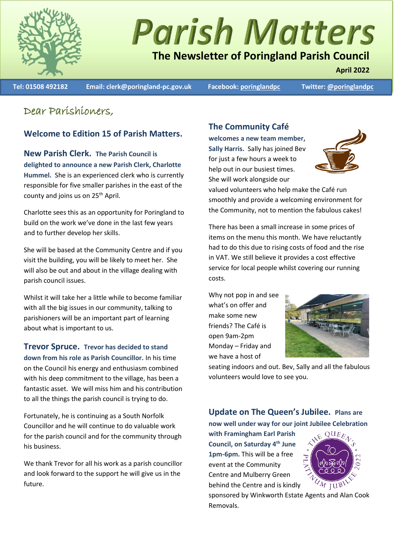

# **Parish Matters**

# **The Newsletter of Poringland Parish Council**

**Tel: 01508 492182 Email: clerk@poringland-pc.gov.uk Facebook: [poringlandpc](https://www.facebook.com/poringlandpc) Twitter[: @poringlandpc](https://twitter.com/poringlandpc)** 

**April 2022**

## Dear Parishioners,

### **Welcome to Edition 15 of Parish Matters.**

**New Parish Clerk. The Parish Council is delighted to announce a new Parish Clerk, Charlotte Hummel.** She is an experienced clerk who is currently responsible for five smaller parishes in the east of the county and joins us on 25<sup>th</sup> April.

Charlotte sees this as an opportunity for Poringland to build on the work we've done in the last few years and to further develop her skills.

She will be based at the Community Centre and if you visit the building, you will be likely to meet her. She will also be out and about in the village dealing with parish council issues.

Whilst it will take her a little while to become familiar with all the big issues in our community, talking to parishioners will be an important part of learning about what is important to us.

**Trevor Spruce. Trevor has decided to stand down from his role as Parish Councillor.** In his time on the Council his energy and enthusiasm combined with his deep commitment to the village, has been a fantastic asset. We will miss him and his contribution to all the things the parish council is trying to do.

Fortunately, he is continuing as a South Norfolk Councillor and he will continue to do valuable work for the parish council and for the community through his business.

We thank Trevor for all his work as a parish councillor and look forward to the support he will give us in the future.

## **The Community Café**

**welcomes a new team member, Sally Harris.** Sally has joined Bev for just a few hours a week to help out in our busiest times. She will work alongside our



valued volunteers who help make the Café run smoothly and provide a welcoming environment for the Community, not to mention the fabulous cakes!

There has been a small increase in some prices of items on the menu this month. We have reluctantly had to do this due to rising costs of food and the rise in VAT. We still believe it provides a cost effective service for local people whilst covering our running costs.

Why not pop in and see what's on offer and make some new friends? The Café is open 9am-2pm Monday – Friday and we have a host of



seating indoors and out. Bev, Sally and all the fabulous volunteers would love to see you.

### **Update on The Queen's Jubilee. Plans are now well under way for our joint Jubilee Celebration**

**with Framingham Earl Parish Council, on Saturday 4th June 1pm-6pm.** This will be a free event at the Community Centre and Mulberry Green behind the Centre and is kindly



sponsored by Winkworth Estate Agents and Alan Cook Removals.